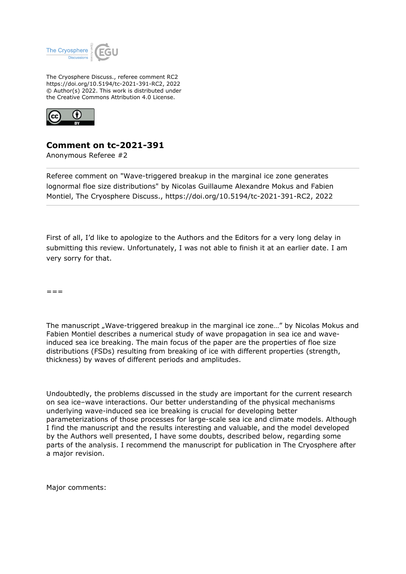

The Cryosphere Discuss., referee comment RC2 https://doi.org/10.5194/tc-2021-391-RC2, 2022 © Author(s) 2022. This work is distributed under the Creative Commons Attribution 4.0 License.



## **Comment on tc-2021-391**

Anonymous Referee #2

Referee comment on "Wave-triggered breakup in the marginal ice zone generates lognormal floe size distributions" by Nicolas Guillaume Alexandre Mokus and Fabien Montiel, The Cryosphere Discuss., https://doi.org/10.5194/tc-2021-391-RC2, 2022

First of all, I'd like to apologize to the Authors and the Editors for a very long delay in submitting this review. Unfortunately, I was not able to finish it at an earlier date. I am very sorry for that.

 $=$   $=$ 

The manuscript "Wave-triggered breakup in the marginal ice zone..." by Nicolas Mokus and Fabien Montiel describes a numerical study of wave propagation in sea ice and waveinduced sea ice breaking. The main focus of the paper are the properties of floe size distributions (FSDs) resulting from breaking of ice with different properties (strength, thickness) by waves of different periods and amplitudes.

Undoubtedly, the problems discussed in the study are important for the current research on sea ice–wave interactions. Our better understanding of the physical mechanisms underlying wave-induced sea ice breaking is crucial for developing better parameterizations of those processes for large-scale sea ice and climate models. Although I find the manuscript and the results interesting and valuable, and the model developed by the Authors well presented, I have some doubts, described below, regarding some parts of the analysis. I recommend the manuscript for publication in The Cryosphere after a major revision.

Major comments: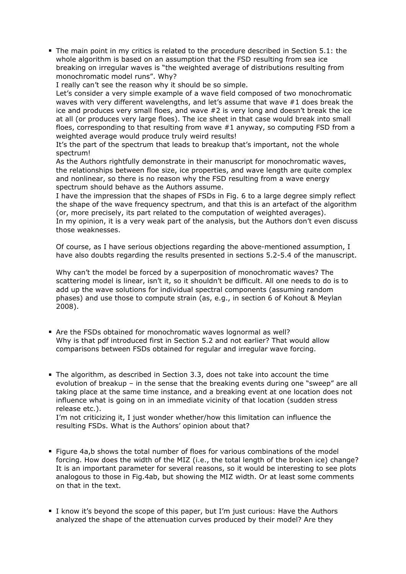The main point in my critics is related to the procedure described in Section 5.1: the whole algorithm is based on an assumption that the FSD resulting from sea ice breaking on irregular waves is "the weighted average of distributions resulting from monochromatic model runs". Why?

I really can't see the reason why it should be so simple.

Let's consider a very simple example of a wave field composed of two monochromatic waves with very different wavelengths, and let's assume that wave #1 does break the ice and produces very small floes, and wave #2 is very long and doesn't break the ice at all (or produces very large floes). The ice sheet in that case would break into small floes, corresponding to that resulting from wave #1 anyway, so computing FSD from a weighted average would produce truly weird results!

It's the part of the spectrum that leads to breakup that's important, not the whole spectrum!

As the Authors rightfully demonstrate in their manuscript for monochromatic waves, the relationships between floe size, ice properties, and wave length are quite complex and nonlinear, so there is no reason why the FSD resulting from a wave energy spectrum should behave as the Authors assume.

I have the impression that the shapes of FSDs in Fig. 6 to a large degree simply reflect the shape of the wave frequency spectrum, and that this is an artefact of the algorithm (or, more precisely, its part related to the computation of weighted averages). In my opinion, it is a very weak part of the analysis, but the Authors don't even discuss those weaknesses.

Of course, as I have serious objections regarding the above-mentioned assumption, I have also doubts regarding the results presented in sections 5.2-5.4 of the manuscript.

Why can't the model be forced by a superposition of monochromatic waves? The scattering model is linear, isn't it, so it shouldn't be difficult. All one needs to do is to add up the wave solutions for individual spectral components (assuming random phases) and use those to compute strain (as, e.g., in section 6 of Kohout & Meylan 2008).

- Are the FSDs obtained for monochromatic waves lognormal as well? Why is that pdf introduced first in Section 5.2 and not earlier? That would allow comparisons between FSDs obtained for regular and irregular wave forcing.
- The algorithm, as described in Section 3.3, does not take into account the time evolution of breakup – in the sense that the breaking events during one "sweep" are all taking place at the same time instance, and a breaking event at one location does not influence what is going on in an immediate vicinity of that location (sudden stress release etc.).

I'm not criticizing it, I just wonder whether/how this limitation can influence the resulting FSDs. What is the Authors' opinion about that?

- Figure 4a,b shows the total number of floes for various combinations of the model forcing. How does the width of the MIZ (i.e., the total length of the broken ice) change? It is an important parameter for several reasons, so it would be interesting to see plots analogous to those in Fig.4ab, but showing the MIZ width. Or at least some comments on that in the text.
- I know it's beyond the scope of this paper, but I'm just curious: Have the Authors analyzed the shape of the attenuation curves produced by their model? Are they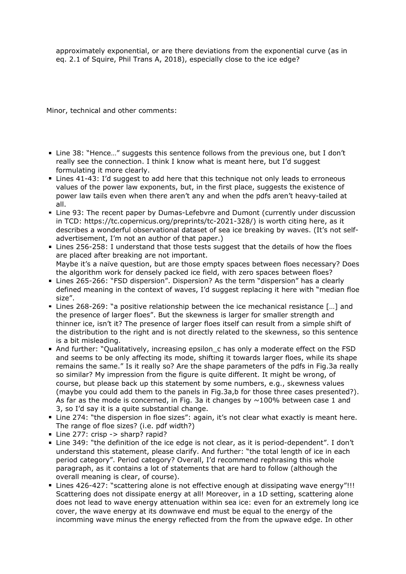approximately exponential, or are there deviations from the exponential curve (as in eq. 2.1 of Squire, Phil Trans A, 2018), especially close to the ice edge?

Minor, technical and other comments:

- Line 38: "Hence…" suggests this sentence follows from the previous one, but I don't really see the connection. I think I know what is meant here, but I'd suggest formulating it more clearly.
- Lines 41-43: I'd suggest to add here that this technique not only leads to erroneous values of the power law exponents, but, in the first place, suggests the existence of power law tails even when there aren't any and when the pdfs aren't heavy-tailed at all.
- Line 93: The recent paper by Dumas-Lefebvre and Dumont (currently under discussion in TCD: https://tc.copernicus.org/preprints/tc-2021-328/) is worth citing here, as it describes a wonderful observational dataset of sea ice breaking by waves. (It's not selfadvertisement, I'm not an author of that paper.)
- Lines 256-258: I understand that those tests suggest that the details of how the floes are placed after breaking are not important. Maybe it's a naïve question, but are those empty spaces between floes necessary? Does the algorithm work for densely packed ice field, with zero spaces between floes?
- Lines 265-266: "FSD dispersion". Dispersion? As the term "dispersion" has a clearly defined meaning in the context of waves, I'd suggest replacing it here with "median floe size".
- Lines 268-269: "a positive relationship between the ice mechanical resistance […] and the presence of larger floes". But the skewness is larger for smaller strength and thinner ice, isn't it? The presence of larger floes itself can result from a simple shift of the distribution to the right and is not directly related to the skewness, so this sentence is a bit misleading.
- And further: "Qualitatively, increasing epsilon\_c has only a moderate effect on the FSD and seems to be only affecting its mode, shifting it towards larger floes, while its shape remains the same." Is it really so? Are the shape parameters of the pdfs in Fig.3a really so similar? My impression from the figure is quite different. It might be wrong, of course, but please back up this statement by some numbers, e.g., skewness values (maybe you could add them to the panels in Fig.3a,b for those three cases presented?). As far as the mode is concerned, in Fig. 3a it changes by  $\sim$ 100% between case 1 and 3, so I'd say it is a quite substantial change.
- Line 274: "the dispersion in floe sizes": again, it's not clear what exactly is meant here. The range of floe sizes? (i.e. pdf width?)
- Line 277: crisp -> sharp? rapid?
- Line 349: "the definition of the ice edge is not clear, as it is period-dependent". I don't understand this statement, please clarify. And further: "the total length of ice in each period category". Period category? Overall, I'd recommend rephrasing this whole paragraph, as it contains a lot of statements that are hard to follow (although the overall meaning is clear, of course).
- Lines 426-427: "scattering alone is not effective enough at dissipating wave energy"!!! Scattering does not dissipate energy at all! Moreover, in a 1D setting, scattering alone does not lead to wave energy attenuation within sea ice: even for an extremely long ice cover, the wave energy at its downwave end must be equal to the energy of the incomming wave minus the energy reflected from the from the upwave edge. In other